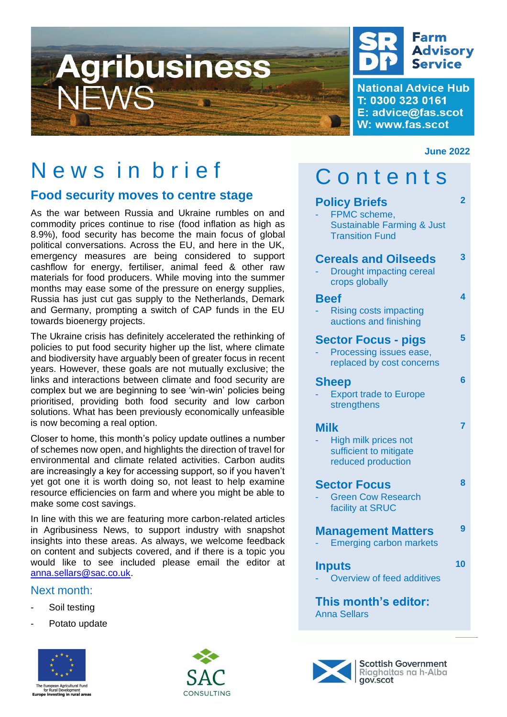



**National Advice Hub** T: 0300 323 0161 E: advice@fas.scot W: www.fas.scot

### **June 2022**

# News in brief

## **Food security moves to centre stage**

As the war between Russia and Ukraine rumbles on and commodity prices continue to rise (food inflation as high as 8.9%), food security has become the main focus of global political conversations. Across the EU, and here in the UK, emergency measures are being considered to support cashflow for energy, fertiliser, animal feed & other raw materials for food producers. While moving into the summer months may ease some of the pressure on energy supplies, Russia has just cut gas supply to the Netherlands, Demark and Germany, prompting a switch of CAP funds in the EU towards bioenergy projects.

The Ukraine crisis has definitely accelerated the rethinking of policies to put food security higher up the list, where climate and biodiversity have arguably been of greater focus in recent years. However, these goals are not mutually exclusive; the links and interactions between climate and food security are complex but we are beginning to see 'win-win' policies being prioritised, providing both food security and low carbon solutions. What has been previously economically unfeasible is now becoming a real option.

Closer to home, this month's policy update outlines a number of schemes now open, and highlights the direction of travel for environmental and climate related activities. Carbon audits are increasingly a key for accessing support, so if you haven't yet got one it is worth doing so, not least to help examine resource efficiencies on farm and where you might be able to make some cost savings.

In line with this we are featuring more carbon-related articles in Agribusiness News, to support industry with snapshot insights into these areas. As always, we welcome feedback on content and subjects covered, and if there is a topic you would like to see included please email the editor at [anna.sellars@sac.co.uk.](mailto:anna.sellars@sac.co.uk)

## Next month:

- Soil testing
- Potato update





| Contents                                                                                                |    |
|---------------------------------------------------------------------------------------------------------|----|
| <b>Policy Briefs</b><br>FPMC scheme,<br><b>Sustainable Farming &amp; Just</b><br><b>Transition Fund</b> | 2  |
| <b>Cereals and Oilseeds</b><br><b>Drought impacting cereal</b><br>crops globally                        | 3  |
| <b>Beef</b><br><b>Rising costs impacting</b><br>auctions and finishing                                  | 4  |
| <b>Sector Focus - pigs</b><br>Processing issues ease,<br>replaced by cost concerns                      | 5  |
| <b>Sheep</b><br><b>Export trade to Europe</b><br>strengthens                                            | 6  |
| <b>Milk</b><br>High milk prices not<br>sufficient to mitigate<br>reduced production                     | 7  |
| <b>Sector Focus</b><br><b>Green Cow Research</b><br>facility at SRUC                                    | 8  |
| <b>Management Matters</b><br><b>Emerging carbon markets</b>                                             | 9  |
| <b>Inputs</b><br>Overview of feed additives                                                             | 10 |
| This month's editor:<br><b>Anna Sellars</b>                                                             |    |



**Scottish Government** Riaghaltas na h-Alba gov.scot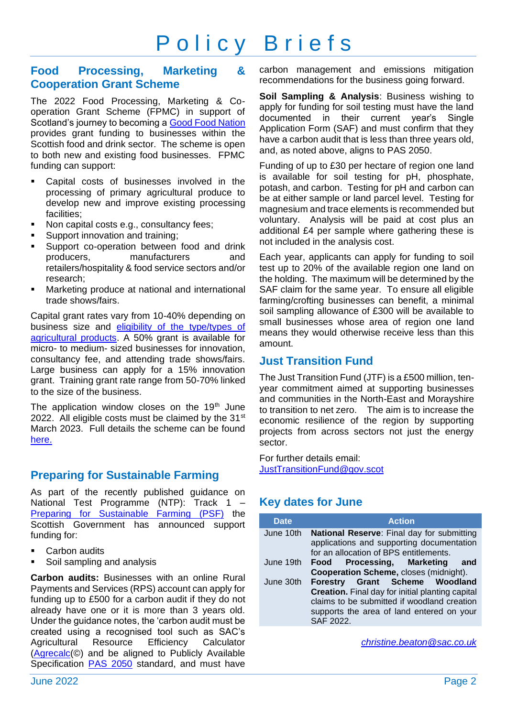# Policy Briefs

## **Food Processing, Marketing & Cooperation Grant Scheme**

The 2022 Food Processing, Marketing & Cooperation Grant Scheme (FPMC) in support of Scotland's journey to becoming a [Good Food Nation](https://www.gov.scot/news/good-food-nation-bill-introduced/) provides grant funding to businesses within the Scottish food and drink sector. The scheme is open to both new and existing food businesses. FPMC funding can support:

- Capital costs of businesses involved in the processing of primary agricultural produce to develop new and improve existing processing facilities;
- Non capital costs e.g., consultancy fees;
- Support innovation and training;
- Support co-operation between food and drink producers, manufacturers and retailers/hospitality & food service sectors and/or research;
- Marketing produce at national and international trade shows/fairs.

Capital grant rates vary from 10-40% depending on business size and [eligibility of the type/types of](https://www.ruralpayments.org/topics/all-schemes/food-processing--marketing-and-co-operation/food-processing--marketing-and-co-operation-full-guidance/fpmc-list-of-eligible-agricultural-products/)  [agricultural products.](https://www.ruralpayments.org/topics/all-schemes/food-processing--marketing-and-co-operation/food-processing--marketing-and-co-operation-full-guidance/fpmc-list-of-eligible-agricultural-products/) A 50% grant is available for micro- to medium- sized businesses for innovation, consultancy fee, and attending trade shows/fairs. Large business can apply for a 15% innovation grant. Training grant rate range from 50-70% linked to the size of the business.

The application window closes on the  $19<sup>th</sup>$  June 2022. All eligible costs must be claimed by the  $31<sup>st</sup>$ March 2023. Full details the scheme can be found [here.](https://www.ruralpayments.org/topics/all-schemes/food-processing--marketing-and-co-operation/food-processing--marketing-and-co-operation-full-guidance/fpmc-list-of-eligible-agricultural-products/)

## **Preparing for Sustainable Farming**

As part of the recently published guidance on National Test Programme (NTP): Track 1 – [Preparing for Sustainable Farming \(PSF\)](https://www.ruralpayments.org/topics/all-schemes/preparing-for-sustainable-farming--psf-/) the Scottish Government has announced support funding for:

- **Carbon audits**
- Soil sampling and analysis

**Carbon audits:** Businesses with an online Rural Payments and Services (RPS) account can apply for funding up to £500 for a carbon audit if they do not already have one or it is more than 3 years old. Under the guidance notes, the 'carbon audit must be created using a recognised tool such as SAC's Agricultural Resource Efficiency Calculator [\(Agrecalc\(](https://www.agrecalc.com/#solution)©) and be aligned to Publicly Available Specification [PAS 2050](https://ghgprotocol.org/sites/default/files/standards_supporting/GHG%20Protocol%20PAS%202050%20Factsheet.pdf) standard, and must have

carbon management and emissions mitigation recommendations for the business going forward.

**Soil Sampling & Analysis**: Business wishing to apply for funding for soil testing must have the land documented in their current year's Single Application Form (SAF) and must confirm that they have a carbon audit that is less than three years old, and, as noted above, aligns to PAS 2050.

Funding of up to £30 per hectare of region one land is available for soil testing for pH, phosphate, potash, and carbon. Testing for pH and carbon can be at either sample or land parcel level. Testing for magnesium and trace elements is recommended but voluntary. Analysis will be paid at cost plus an additional £4 per sample where gathering these is not included in the analysis cost.

Each year, applicants can apply for funding to soil test up to 20% of the available region one land on the holding. The maximum will be determined by the SAF claim for the same year. To ensure all eligible farming/crofting businesses can benefit, a minimal soil sampling allowance of £300 will be available to small businesses whose area of region one land means they would otherwise receive less than this amount.

### **Just Transition Fund**

The Just Transition Fund (JTF) is a £500 million, tenyear commitment aimed at supporting businesses and communities in the North-East and Morayshire to transition to net zero. The aim is to increase the economic resilience of the region by supporting projects from across sectors not just the energy sector.

For further details email: [JustTransitionFund@gov.scot](mailto:JustTransitionFund@gov.scot)

## **Key dates for June**

| <b>Date</b> | <b>Action</b>                                                                                                                                                                                      |
|-------------|----------------------------------------------------------------------------------------------------------------------------------------------------------------------------------------------------|
| June 10th   | <b>National Reserve:</b> Final day for submitting<br>applications and supporting documentation<br>for an allocation of BPS entitlements.                                                           |
| June 19th   | Food Processing, Marketing and<br><b>Cooperation Scheme, closes (midnight).</b>                                                                                                                    |
| June 30th   | Forestry Grant Scheme Woodland<br><b>Creation.</b> Final day for initial planting capital<br>claims to be submitted if woodland creation<br>supports the area of land entered on your<br>SAF 2022. |

*[christine.beaton@sac.co.uk](mailto:christine.beaton@sac.co.uk)*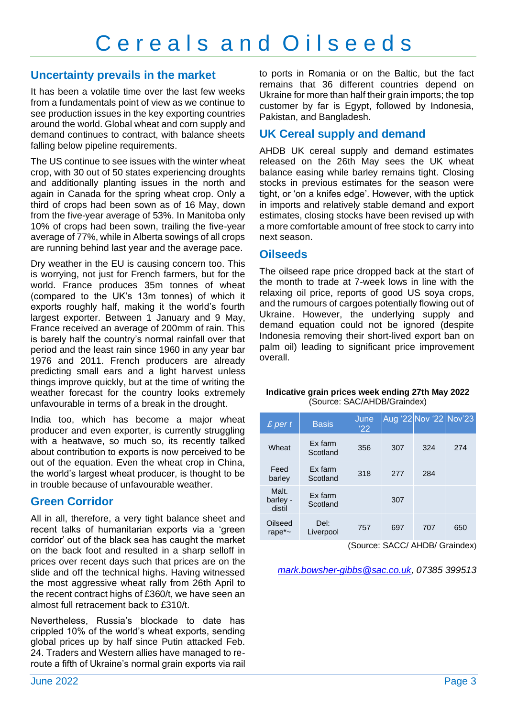## **Uncertainty prevails in the market**

It has been a volatile time over the last few weeks from a fundamentals point of view as we continue to see production issues in the key exporting countries around the world. Global wheat and corn supply and demand continues to contract, with balance sheets falling below pipeline requirements.

The US continue to see issues with the winter wheat crop, with 30 out of 50 states experiencing droughts and additionally planting issues in the north and again in Canada for the spring wheat crop. Only a third of crops had been sown as of 16 May, down from the five-year average of 53%. In Manitoba only 10% of crops had been sown, trailing the five-year average of 77%, while in Alberta sowings of all crops are running behind last year and the average pace.

Dry weather in the EU is causing concern too. This is worrying, not just for French farmers, but for the world. France produces 35m tonnes of wheat (compared to the UK's 13m tonnes) of which it exports roughly half, making it the world's fourth largest exporter. Between 1 January and 9 May, France received an average of 200mm of rain. This is barely half the country's normal rainfall over that period and the least rain since 1960 in any year bar 1976 and 2011. French producers are already predicting small ears and a light harvest unless things improve quickly, but at the time of writing the weather forecast for the country looks extremely unfavourable in terms of a break in the drought.

India too, which has become a major wheat producer and even exporter, is currently struggling with a heatwave, so much so, its recently talked about contribution to exports is now perceived to be out of the equation. Even the wheat crop in China, the world's largest wheat producer, is thought to be in trouble because of unfavourable weather.

## **Green Corridor**

All in all, therefore, a very tight balance sheet and recent talks of humanitarian exports via a 'green corridor' out of the black sea has caught the market on the back foot and resulted in a sharp selloff in prices over recent days such that prices are on the slide and off the technical highs. Having witnessed the most aggressive wheat rally from 26th April to the recent contract highs of £360/t, we have seen an almost full retracement back to £310/t.

Nevertheless, Russia's blockade to date has crippled 10% of the world's wheat exports, sending global prices up by half since Putin attacked Feb. 24. Traders and Western allies have managed to reroute a fifth of Ukraine's normal grain exports via rail to ports in Romania or on the Baltic, but the fact remains that 36 different countries depend on Ukraine for more than half their grain imports; the top customer by far is Egypt, followed by Indonesia, Pakistan, and Bangladesh.

## **UK Cereal supply and demand**

AHDB UK cereal supply and demand estimates released on the 26th May sees the UK wheat balance easing while barley remains tight. Closing stocks in previous estimates for the season were tight, or 'on a knifes edge'. However, with the uptick in imports and relatively stable demand and export estimates, closing stocks have been revised up with a more comfortable amount of free stock to carry into next season.

### **Oilseeds**

The oilseed rape price dropped back at the start of the month to trade at 7-week lows in line with the relaxing oil price, reports of good US soya crops, and the rumours of cargoes potentially flowing out of Ukraine. However, the underlying supply and demand equation could not be ignored (despite Indonesia removing their short-lived export ban on palm oil) leading to significant price improvement overall.

#### **Indicative grain prices week ending 27th May 2022** (Source: SAC/AHDB/Graindex)

| $£$ per $t$                 | <b>Basis</b>        | June<br>$^{\prime}22$ |     | Aug '22 Nov '22 Nov'23 |     |
|-----------------------------|---------------------|-----------------------|-----|------------------------|-----|
| Wheat                       | Ex farm<br>Scotland | 356                   | 307 | 324                    | 274 |
| Feed<br>barley              | Ex farm<br>Scotland | 318                   | 277 | 284                    |     |
| Malt.<br>barley -<br>distil | Ex farm<br>Scotland |                       | 307 |                        |     |
| Oilseed<br>rape $\sim$      | Del:<br>Liverpool   | 757                   | 697 | 707                    | 650 |

(Source: SACC/ AHDB/ Graindex)

*[mark.bowsher-gibbs@sac.co.uk,](mailto:mark.bowsher-gibbs@sac.co.uk) 07385 399513*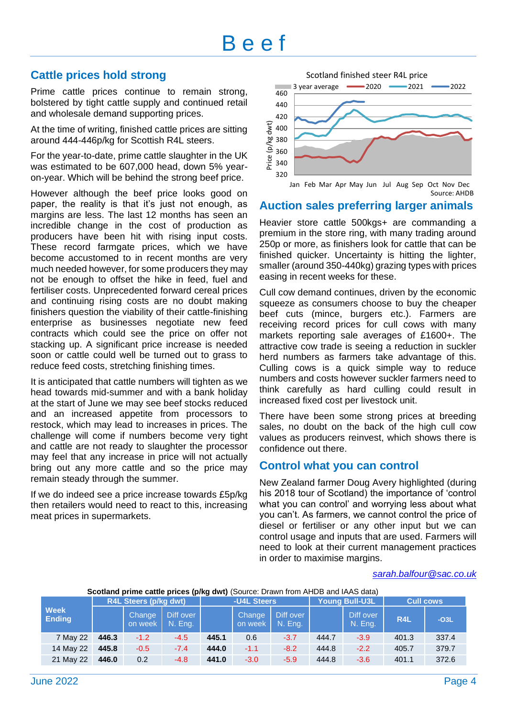# B e e f

## **Cattle prices hold strong**

Prime cattle prices continue to remain strong, bolstered by tight cattle supply and continued retail and wholesale demand supporting prices.

At the time of writing, finished cattle prices are sitting around 444-446p/kg for Scottish R4L steers.

For the year-to-date, prime cattle slaughter in the UK was estimated to be 607,000 head, down 5% yearon-year. Which will be behind the strong beef price.

However although the beef price looks good on paper, the reality is that it's just not enough, as margins are less. The last 12 months has seen an incredible change in the cost of production as producers have been hit with rising input costs. These record farmgate prices, which we have become accustomed to in recent months are very much needed however, for some producers they may not be enough to offset the hike in feed, fuel and fertiliser costs. Unprecedented forward cereal prices and continuing rising costs are no doubt making finishers question the viability of their cattle-finishing enterprise as businesses negotiate new feed contracts which could see the price on offer not stacking up. A significant price increase is needed soon or cattle could well be turned out to grass to reduce feed costs, stretching finishing times.

It is anticipated that cattle numbers will tighten as we head towards mid-summer and with a bank holiday at the start of June we may see beef stocks reduced and an increased appetite from processors to restock, which may lead to increases in prices. The challenge will come if numbers become very tight and cattle are not ready to slaughter the processor may feel that any increase in price will not actually bring out any more cattle and so the price may remain steady through the summer.

If we do indeed see a price increase towards £5p/kg then retailers would need to react to this, increasing meat prices in supermarkets.



## **Auction sales preferring larger animals**

Heavier store cattle 500kgs+ are commanding a premium in the store ring, with many trading around 250p or more, as finishers look for cattle that can be finished quicker. Uncertainty is hitting the lighter, smaller (around 350-440kg) grazing types with prices easing in recent weeks for these.

Cull cow demand continues, driven by the economic squeeze as consumers choose to buy the cheaper beef cuts (mince, burgers etc.). Farmers are receiving record prices for cull cows with many markets reporting sale averages of £1600+. The attractive cow trade is seeing a reduction in suckler herd numbers as farmers take advantage of this. Culling cows is a quick simple way to reduce numbers and costs however suckler farmers need to think carefully as hard culling could result in increased fixed cost per livestock unit.

There have been some strong prices at breeding sales, no doubt on the back of the high cull cow values as producers reinvest, which shows there is confidence out there.

## **Control what you can control**

New Zealand farmer Doug Avery highlighted (during his 2018 tour of Scotland) the importance of 'control what you can control' and worrying less about what you can't. As farmers, we cannot control the price of diesel or fertiliser or any other input but we can control usage and inputs that are used. Farmers will need to look at their current management practices in order to maximise margins.

#### *[sarah.balfour@sac.co.uk](mailto:sarah.balfour@sac.co.uk)*

**Scotland prime cattle prices (p/kg dwt)** (Source: Drawn from AHDB and IAAS data)

|                              | <b>R4L Steers (p/kg dwt)</b> |                   |                      | -U4L Steers |                   | Young Bull-U3L       |       | <b>Cull cows</b>     |                 |        |
|------------------------------|------------------------------|-------------------|----------------------|-------------|-------------------|----------------------|-------|----------------------|-----------------|--------|
| <b>Week</b><br><b>Ending</b> |                              | Change<br>on week | Diff over<br>N. Eng. |             | Change<br>on week | Diff over<br>N. Eng. |       | Diff over<br>N. Eng. | R <sub>4L</sub> | $-O3L$ |
| 7 May 22                     | 446.3                        | $-1.2$            | $-4.5$               | 445.1       | 0.6               | $-3.7$               | 444.7 | $-3.9$               | 401.3           | 337.4  |
| 14 May 22                    | 445.8                        | $-0.5$            | $-7.4$               | 444.0       | $-1.1$            | $-8.2$               | 444.8 | $-2.2$               | 405.7           | 379.7  |
| 21 May 22                    | 446.0                        | 0.2               | $-4.8$               | 441.0       | $-3.0$            | $-5.9$               | 444.8 | $-3.6$               | 401.1           | 372.6  |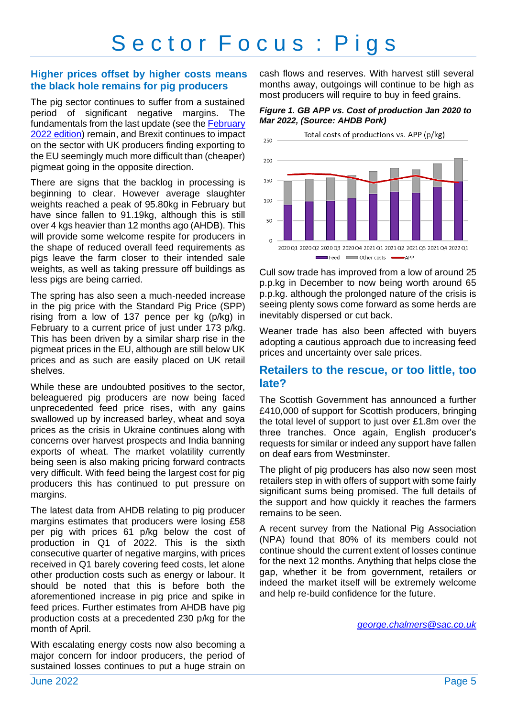# Sector Focus : Pigs

### **Higher prices offset by higher costs means the black hole remains for pig producers**

The pig sector continues to suffer from a sustained period of significant negative margins. The fundamentals from the last update (see the [February](https://www.fas.scot/downloads/agribusiness-news-february-2022/)  [2022 edition\)](https://www.fas.scot/downloads/agribusiness-news-february-2022/) remain, and Brexit continues to impact on the sector with UK producers finding exporting to the EU seemingly much more difficult than (cheaper) pigmeat going in the opposite direction.

There are signs that the backlog in processing is beginning to clear. However average slaughter weights reached a peak of 95.80kg in February but have since fallen to 91.19kg, although this is still over 4 kgs heavier than 12 months ago (AHDB). This will provide some welcome respite for producers in the shape of reduced overall feed requirements as pigs leave the farm closer to their intended sale weights, as well as taking pressure off buildings as less pigs are being carried.

The spring has also seen a much-needed increase in the pig price with the Standard Pig Price (SPP) rising from a low of 137 pence per kg (p/kg) in February to a current price of just under 173 p/kg. This has been driven by a similar sharp rise in the pigmeat prices in the EU, although are still below UK prices and as such are easily placed on UK retail shelves.

While these are undoubted positives to the sector, beleaguered pig producers are now being faced unprecedented feed price rises, with any gains swallowed up by increased barley, wheat and soya prices as the crisis in Ukraine continues along with concerns over harvest prospects and India banning exports of wheat. The market volatility currently being seen is also making pricing forward contracts very difficult. With feed being the largest cost for pig producers this has continued to put pressure on margins.

The latest data from AHDB relating to pig producer margins estimates that producers were losing £58 per pig with prices 61 p/kg below the cost of production in Q1 of 2022. This is the sixth consecutive quarter of negative margins, with prices received in Q1 barely covering feed costs, let alone other production costs such as energy or labour. It should be noted that this is before both the aforementioned increase in pig price and spike in feed prices. Further estimates from AHDB have pig production costs at a precedented 230 p/kg for the month of April.

With escalating energy costs now also becoming a major concern for indoor producers, the period of sustained losses continues to put a huge strain on

cash flows and reserves. With harvest still several months away, outgoings will continue to be high as most producers will require to buy in feed grains.

*Figure 1. GB APP vs. Cost of production Jan 2020 to Mar 2022, (Source: AHDB Pork)*



Cull sow trade has improved from a low of around 25 p.p.kg in December to now being worth around 65 p.p.kg. although the prolonged nature of the crisis is seeing plenty sows come forward as some herds are inevitably dispersed or cut back.

Weaner trade has also been affected with buyers adopting a cautious approach due to increasing feed prices and uncertainty over sale prices.

### **Retailers to the rescue, or too little, too late?**

The Scottish Government has announced a further £410,000 of support for Scottish producers, bringing the total level of support to just over £1.8m over the three tranches. Once again, English producer's requests for similar or indeed any support have fallen on deaf ears from Westminster.

The plight of pig producers has also now seen most retailers step in with offers of support with some fairly significant sums being promised. The full details of the support and how quickly it reaches the farmers remains to be seen.

A recent survey from the National Pig Association (NPA) found that 80% of its members could not continue should the current extent of losses continue for the next 12 months. Anything that helps close the gap, whether it be from government, retailers or indeed the market itself will be extremely welcome and help re-build confidence for the future.

*[george.chalmers@sac.co.uk](mailto:george.chalmers@sac.co.uk)*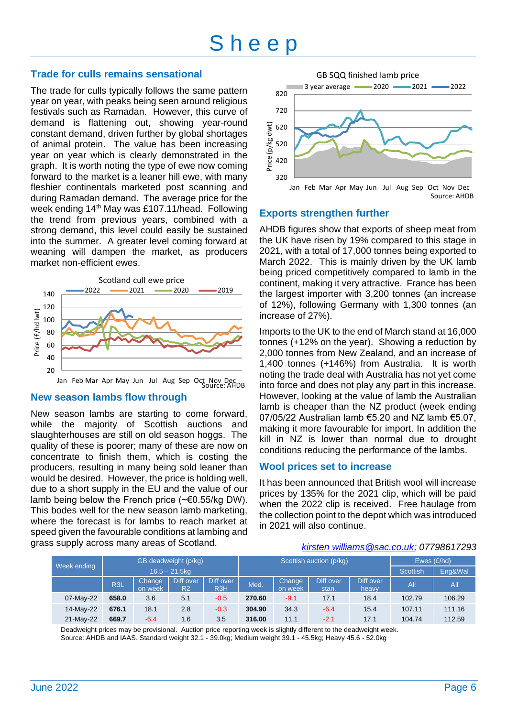# S h e e p

### **Trade for culls remains sensational**

The trade for culls typically follows the same pattern year on year, with peaks being seen around religious festivals such as Ramadan. However, this curve of demand is flattening out, showing year-round constant demand, driven further by global shortages of animal protein. The value has been increasing year on year which is clearly demonstrated in the graph. It is worth noting the type of ewe now coming forward to the market is a leaner hill ewe, with many fleshier continentals marketed post scanning and during Ramadan demand. The average price for the week ending 14<sup>th</sup> May was £107.11/head. Following the trend from previous years, combined with a strong demand, this level could easily be sustained into the summer. A greater level coming forward at weaning will dampen the market, as producers market non-efficient ewes.



Jan Feb Mar Apr May Jun Jul Aug Sep Oct Nov Dec Source: AHDB

#### **New season lambs flow through**

New season lambs are starting to come forward, while the majority of Scottish auctions and slaughterhouses are still on old season hoggs. The quality of these is poorer; many of these are now on concentrate to finish them, which is costing the producers, resulting in many being sold leaner than would be desired. However, the price is holding well, due to a short supply in the EU and the value of our lamb being below the French price  $(*\epsilon 0.55/kg)$  DW). This bodes well for the new season lamb marketing, where the forecast is for lambs to reach market at speed given the favourable conditions at lambing and grass supply across many areas of Scotland.



### **Exports strengthen further**

AHDB figures show that exports of sheep meat from the UK have risen by 19% compared to this stage in 2021, with a total of 17,000 tonnes being exported to March 2022. This is mainly driven by the UK lamb being priced competitively compared to lamb in the continent, making it very attractive. France has been the largest importer with 3,200 tonnes (an increase of 12%), following Germany with 1,300 tonnes (an increase of 27%).

Imports to the UK to the end of March stand at 16,000 tonnes (+12% on the year). Showing a reduction by 2,000 tonnes from New Zealand, and an increase of 1,400 tonnes (+146%) from Australia. It is worth noting the trade deal with Australia has not yet come into force and does not play any part in this increase. However, looking at the value of lamb the Australian lamb is cheaper than the NZ product (week ending 07/05/22 Australian lamb €5.20 and NZ lamb €5.07, making it more favourable for import. In addition the kill in NZ is lower than normal due to drought conditions reducing the performance of the lambs.

### **Wool prices set to increase**

It has been announced that British wool will increase prices by 135% for the 2021 clip, which will be paid when the 2022 clip is received. Free haulage from the collection point to the depot which was introduced in 2021 will also continue.

#### *kirsten williams@sac.co.uk; 07798617293*

|             | GB deadweight (p/kg)<br>$16.5 - 21.5$ kg |                   |                             |                  | Scottish auction (p/kg) |                   |                    |                    | Ewes $(E/hd)$   |         |
|-------------|------------------------------------------|-------------------|-----------------------------|------------------|-------------------------|-------------------|--------------------|--------------------|-----------------|---------|
| Week ending |                                          |                   |                             |                  |                         |                   |                    |                    | <b>Scottish</b> | Eng&Wal |
|             | <b>R3L</b>                               | Change<br>on week | Diff over<br>R <sub>2</sub> | Diff over<br>R3H | Med.                    | Change<br>on week | Diff over<br>stan. | Diff over<br>heavy | All             | AII     |
| 07-May-22   | 658.0                                    | 3.6               | 5.1                         | $-0.5$           | 270.60                  | $-9.1$            | 17.1               | 18.4               | 102.79          | 106.29  |
| 14-May-22   | 676.1                                    | 18.1              | 2.8                         | $-0.3$           | 304.90                  | 34.3              | $-6.4$             | 15.4               | 107.11          | 111.16  |
| 21-May-22   | 669.7                                    | $-6.4$            | 1.6                         | 3.5              | 316.00                  | 11.1              | $-2.1$             | 17.1               | 104.74          | 112.59  |

Deadweight prices may be provisional. Auction price reporting week is slightly different to the deadweight week. Source: AHDB and IAAS. Standard weight 32.1 - 39.0kg; Medium weight 39.1 - 45.5kg; Heavy 45.6 - 52.0kg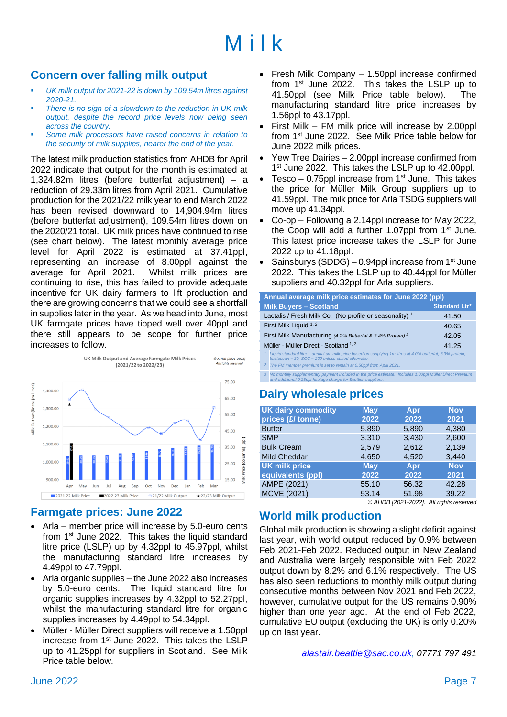## **Concern over falling milk output**

- UK milk output for 2021-22 is down by 109.54m litres against *2020-21.*
- There is no sign of a slowdown to the reduction in UK milk *output, despite the record price levels now being seen across the country.*
- Some milk processors have raised concerns in relation to *the security of milk supplies, nearer the end of the year.*

The latest milk production statistics from AHDB for April 2022 indicate that output for the month is estimated at 1,324.82m litres (before butterfat adjustment) – a reduction of 29.33m litres from April 2021. Cumulative production for the 2021/22 milk year to end March 2022 has been revised downward to 14,904.94m litres (before butterfat adjustment), 109.54m litres down on the 2020/21 total. UK milk prices have continued to rise (see chart below). The latest monthly average price level for April 2022 is estimated at 37.41ppl, representing an increase of 8.00ppl against the average for April 2021. Whilst milk prices are continuing to rise, this has failed to provide adequate incentive for UK dairy farmers to lift production and there are growing concerns that we could see a shortfall in supplies later in the year. As we head into June, most UK farmgate prices have tipped well over 40ppl and there still appears to be scope for further price increases to follow.



## **Farmgate prices: June 2022**

- Arla member price will increase by 5.0-euro cents from  $1<sup>st</sup>$  June 2022. This takes the liquid standard litre price (LSLP) up by 4.32ppl to 45.97ppl, whilst the manufacturing standard litre increases by 4.49ppl to 47.79ppl.
- Arla organic supplies the June 2022 also increases by 5.0-euro cents. The liquid standard litre for organic supplies increases by 4.32ppl to 52.27ppl, whilst the manufacturing standard litre for organic supplies increases by 4.49ppl to 54.34ppl.
- Müller Müller Direct suppliers will receive a 1.50ppl increase from 1<sup>st</sup> June 2022. This takes the LSLP up to 41.25ppl for suppliers in Scotland. See Milk Price table below.
- Fresh Milk Company 1.50ppl increase confirmed from 1st June 2022. This takes the LSLP up to 41.50ppl (see Milk Price table below). The manufacturing standard litre price increases by 1.56ppl to 43.17ppl.
- First Milk FM milk price will increase by 2.00ppl from 1st June 2022. See Milk Price table below for June 2022 milk prices.
- Yew Tree Dairies 2.00ppl increase confirmed from 1<sup>st</sup> June 2022. This takes the LSLP up to 42.00ppl.
- Tesco 0.75ppl increase from  $1<sup>st</sup>$  June. This takes the price for Müller Milk Group suppliers up to 41.59ppl. The milk price for Arla TSDG suppliers will move up 41.34ppl.
- Co-op Following a 2.14ppl increase for May 2022, the Coop will add a further 1.07ppl from  $1<sup>st</sup>$  June. This latest price increase takes the LSLP for June 2022 up to 41.18ppl.
- Sainsburys (SDDG) 0.94ppl increase from  $1<sup>st</sup>$  June 2022. This takes the LSLP up to 40.44ppl for Müller suppliers and 40.32ppl for Arla suppliers.

| Annual average milk price estimates for June 2022 (ppl)                                                                                                                    |                      |  |  |  |  |
|----------------------------------------------------------------------------------------------------------------------------------------------------------------------------|----------------------|--|--|--|--|
| <b>Milk Buyers - Scotland</b>                                                                                                                                              | <b>Standard Ltr*</b> |  |  |  |  |
| Lactalis / Fresh Milk Co. (No profile or seasonality) 1                                                                                                                    | 41.50                |  |  |  |  |
| First Milk Liquid 1, 2<br>40.65                                                                                                                                            |                      |  |  |  |  |
| First Milk Manufacturing (4.2% Butterfat & 3.4% Protein) <sup>2</sup><br>42.05                                                                                             |                      |  |  |  |  |
| Müller - Müller Direct - Scotland 1, 3<br>41.25                                                                                                                            |                      |  |  |  |  |
| Liquid standard litre - annual av. milk price based on supplying 1m litres at 4.0% butterfat, 3.3% protein,<br>bactoscan = 30, $SCC = 200$ unless stated otherwise.        |                      |  |  |  |  |
| 2 The FM member premium is set to remain at 0.50ppl from April 2021.                                                                                                       |                      |  |  |  |  |
| 3 No monthly supplementary payment included in the price estimate. Includes 1.00ppl Müller Direct Premium<br>and additional 0.25ppl haulage charge for Scottish suppliers. |                      |  |  |  |  |

## **Dairy wholesale prices**

| <b>UK dairy commodity</b><br>prices (£/ tonne) | <b>May</b><br>2022 | Apr<br>2022 | <b>Nov</b><br>2021 |
|------------------------------------------------|--------------------|-------------|--------------------|
| <b>Butter</b>                                  | 5,890              | 5,890       | 4.380              |
| <b>SMP</b>                                     | 3,310              | 3,430       | 2,600              |
| <b>Bulk Cream</b>                              | 2,579              | 2,612       | 2,139              |
| <b>Mild Cheddar</b>                            | 4,650              | 4,520       | 3.440              |
| <b>UK milk price</b>                           | <b>May</b>         | Apr         | <b>Nov</b>         |
| equivalents (ppl)                              | 2022               | 2022        | 2021               |
| AMPE (2021)                                    | 55.10              | 56.32       | 42.28              |
| MCVE (2021)                                    | 53.14              | 51.98       | 39.22              |

*<sup>©</sup> AHDB [2021-2022]. All rights reserved*

## **World milk production**

Global milk production is showing a slight deficit against last year, with world output reduced by 0.9% between Feb 2021-Feb 2022. Reduced output in New Zealand and Australia were largely responsible with Feb 2022 output down by 8.2% and 6.1% respectively. The US has also seen reductions to monthly milk output during consecutive months between Nov 2021 and Feb 2022, however, cumulative output for the US remains 0.90% higher than one year ago. At the end of Feb 2022, cumulative EU output (excluding the UK) is only 0.20% up on last year.

*alastair.beattie@sac.co.uk, 07771 797 491*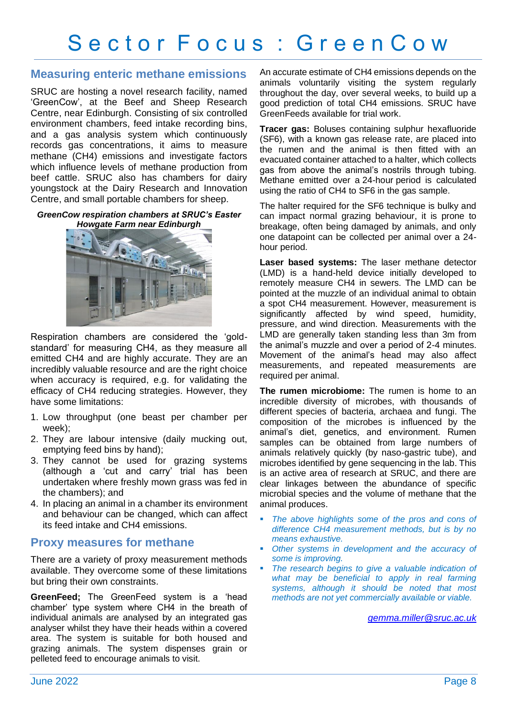### **Measuring enteric methane emissions**

SRUC are hosting a novel research facility, named 'GreenCow', at the Beef and Sheep Research Centre, near Edinburgh. Consisting of six controlled environment chambers, feed intake recording bins, and a gas analysis system which continuously records gas concentrations, it aims to measure methane (CH4) emissions and investigate factors which influence levels of methane production from beef cattle. SRUC also has chambers for dairy youngstock at the Dairy Research and Innovation Centre, and small portable chambers for sheep.

*GreenCow respiration chambers at SRUC's Easter Howgate Farm near Edinburgh*



Respiration chambers are considered the 'goldstandard' for measuring CH4, as they measure all emitted CH4 and are highly accurate. They are an incredibly valuable resource and are the right choice when accuracy is required, e.g. for validating the efficacy of CH4 reducing strategies. However, they have some limitations:

- 1. Low throughput (one beast per chamber per week);
- 2. They are labour intensive (daily mucking out, emptying feed bins by hand);
- 3. They cannot be used for grazing systems (although a 'cut and carry' trial has been undertaken where freshly mown grass was fed in the chambers); and
- 4. In placing an animal in a chamber its environment and behaviour can be changed, which can affect its feed intake and CH4 emissions.

### **Proxy measures for methane**

There are a variety of proxy measurement methods available. They overcome some of these limitations but bring their own constraints.

**GreenFeed;** The GreenFeed system is a 'head chamber' type system where CH4 in the breath of individual animals are analysed by an integrated gas analyser whilst they have their heads within a covered area. The system is suitable for both housed and grazing animals. The system dispenses grain or pelleted feed to encourage animals to visit.

An accurate estimate of CH4 emissions depends on the animals voluntarily visiting the system regularly throughout the day, over several weeks, to build up a good prediction of total CH4 emissions. SRUC have GreenFeeds available for trial work.

**Tracer gas:** Boluses containing sulphur hexafluoride (SF6), with a known gas release rate, are placed into the rumen and the animal is then fitted with an evacuated container attached to a halter, which collects gas from above the animal's nostrils through tubing. Methane emitted over a 24-hour period is calculated using the ratio of CH4 to SF6 in the gas sample.

The halter required for the SF6 technique is bulky and can impact normal grazing behaviour, it is prone to breakage, often being damaged by animals, and only one datapoint can be collected per animal over a 24 hour period.

**Laser based systems:** The laser methane detector (LMD) is a hand-held device initially developed to remotely measure CH4 in sewers. The LMD can be pointed at the muzzle of an individual animal to obtain a spot CH4 measurement. However, measurement is significantly affected by wind speed, humidity, pressure, and wind direction. Measurements with the LMD are generally taken standing less than 3m from the animal's muzzle and over a period of 2-4 minutes. Movement of the animal's head may also affect measurements, and repeated measurements are required per animal.

**The rumen microbiome:** The rumen is home to an incredible diversity of microbes, with thousands of different species of bacteria, archaea and fungi. The composition of the microbes is influenced by the animal's diet, genetics, and environment. Rumen samples can be obtained from large numbers of animals relatively quickly (by naso-gastric tube), and microbes identified by gene sequencing in the lab. This is an active area of research at SRUC, and there are clear linkages between the abundance of specific microbial species and the volume of methane that the animal produces.

- The above highlights some of the pros and cons of *difference CH4 measurement methods, but is by no means exhaustive.*
- *Other systems in development and the accuracy of some is improving.*
- The research begins to give a valuable indication of *what may be beneficial to apply in real farming systems, although it should be noted that most methods are not yet commercially available or viable.*

*[gemma.miller@sruc.ac.uk](mailto:Gemma.Miller@sruc.ac.uk)*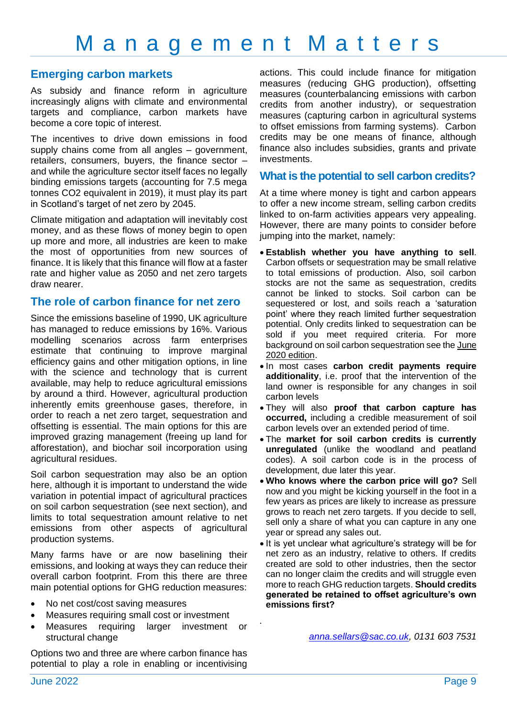## **Emerging carbon markets**

As subsidy and finance reform in agriculture increasingly aligns with climate and environmental targets and compliance, carbon markets have become a core topic of interest.

The incentives to drive down emissions in food supply chains come from all angles – government, retailers, consumers, buyers, the finance sector – and while the agriculture sector itself faces no legally binding emissions targets (accounting for 7.5 mega tonnes CO2 equivalent in 2019), it must play its part in Scotland's target of net zero by 2045.

Climate mitigation and adaptation will inevitably cost money, and as these flows of money begin to open up more and more, all industries are keen to make the most of opportunities from new sources of finance. It is likely that this finance will flow at a faster rate and higher value as 2050 and net zero targets draw nearer.

### **The role of carbon finance for net zero**

Since the emissions baseline of 1990, UK agriculture has managed to reduce emissions by 16%. Various modelling scenarios across farm enterprises estimate that continuing to improve marginal efficiency gains and other mitigation options, in line with the science and technology that is current available, may help to reduce agricultural emissions by around a third. However, agricultural production inherently emits greenhouse gases, therefore, in order to reach a net zero target, sequestration and offsetting is essential. The main options for this are improved grazing management (freeing up land for afforestation), and biochar soil incorporation using agricultural residues.

Soil carbon sequestration may also be an option here, although it is important to understand the wide variation in potential impact of agricultural practices on soil carbon sequestration (see next section), and limits to total sequestration amount relative to net emissions from other aspects of agricultural production systems.

Many farms have or are now baselining their emissions, and looking at ways they can reduce their overall carbon footprint. From this there are three main potential options for GHG reduction measures:

- No net cost/cost saving measures
- Measures requiring small cost or investment
- Measures requiring larger investment or structural change

Options two and three are where carbon finance has potential to play a role in enabling or incentivising

actions. This could include finance for mitigation measures (reducing GHG production), offsetting measures (counterbalancing emissions with carbon credits from another industry), or sequestration measures (capturing carbon in agricultural systems to offset emissions from farming systems). Carbon credits may be one means of finance, although finance also includes subsidies, grants and private investments.

### **What is the potential to sell carbon credits?**

At a time where money is tight and carbon appears to offer a new income stream, selling carbon credits linked to on-farm activities appears very appealing. However, there are many points to consider before jumping into the market, namely:

- **Establish whether you have anything to sell**. Carbon offsets or sequestration may be small relative to total emissions of production. Also, soil carbon stocks are not the same as sequestration, credits cannot be linked to stocks. Soil carbon can be sequestered or lost, and soils reach a 'saturation point' where they reach limited further sequestration potential. Only credits linked to sequestration can be sold if you meet required criteria. For more background on soil carbon sequestration see th[e June](https://www.fas.scot/downloads/agri-business-news-june-2020/)  [2020 edition.](https://www.fas.scot/downloads/agri-business-news-june-2020/)
- In most cases **carbon credit payments require additionality**, i.e. proof that the intervention of the land owner is responsible for any changes in soil carbon levels
- They will also **proof that carbon capture has occurred,** including a credible measurement of soil carbon levels over an extended period of time.
- The **market for soil carbon credits is currently unregulated** (unlike the woodland and peatland codes). A soil carbon code is in the process of development, due later this year.
- **Who knows where the carbon price will go?** Sell now and you might be kicking yourself in the foot in a few years as prices are likely to increase as pressure grows to reach net zero targets. If you decide to sell, sell only a share of what you can capture in any one year or spread any sales out.
- It is yet unclear what agriculture's strategy will be for net zero as an industry, relative to others. If credits created are sold to other industries, then the sector can no longer claim the credits and will struggle even more to reach GHG reduction targets. **Should credits generated be retained to offset agriculture's own emissions first?**

*.*

*[anna.sellars@sac.co.uk,](mailto:anna.sellars@sac.co.uk) 0131 603 7531*